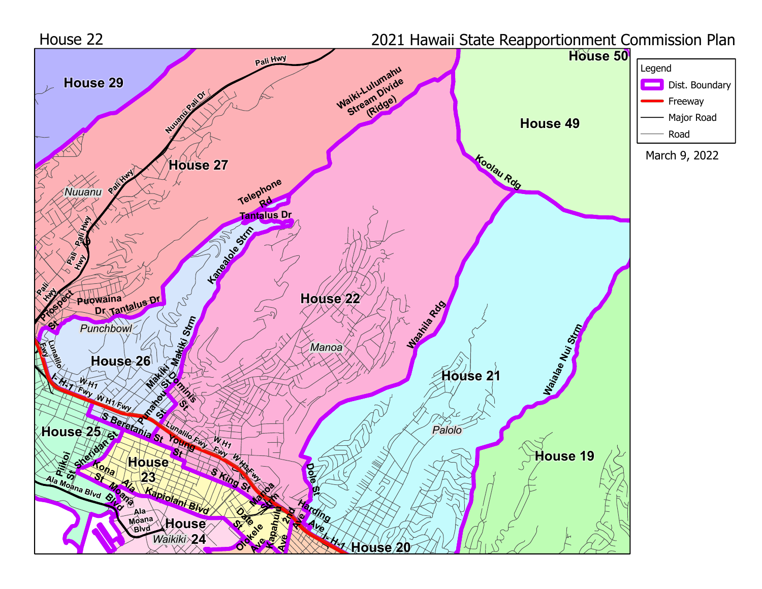